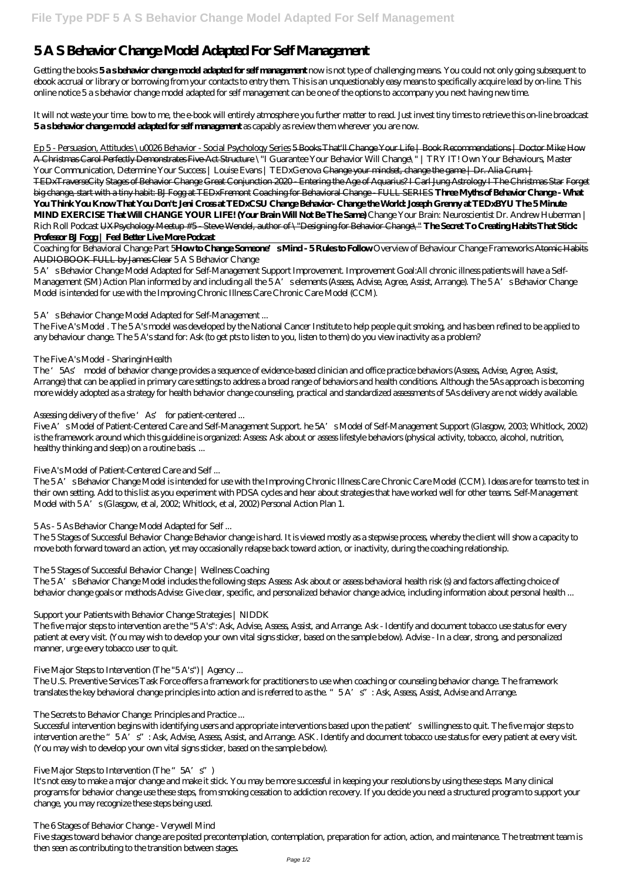# **5 A S Behavior Change Model Adapted For Self Management**

Getting the books **5 a s behavior change model adapted for self management** now is not type of challenging means. You could not only going subsequent to ebook accrual or library or borrowing from your contacts to entry them. This is an unquestionably easy means to specifically acquire lead by on-line. This online notice 5 a s behavior change model adapted for self management can be one of the options to accompany you next having new time.

It will not waste your time. bow to me, the e-book will entirely atmosphere you further matter to read. Just invest tiny times to retrieve this on-line broadcast **5 a s behavior change model adapted for self management** as capably as review them wherever you are now.

Ep 5 - Persuasion, Attitudes \u0026 Behavior - Social Psychology Series 5 Books That'll Change Your Life | Book Recommendations | Doctor Mike How A Christmas Carol Perfectly Demonstrates Five-Act Structure \"I Guarantee Your Behavior Will Change\" | TRY IT! Own Your Behaviours, Master Your Communication, Determine Your Success | Louise Evans | TEDxGenova <del>Change your mindset, change the game | Dr. Alia Crum |</del> TEDxTraverseCity Stages of Behavior Change Great Conjunction 2020 - Entering the Age of Aquarius? I Carl Jung Astrology I The Christmas Star Forget big change, start with a tiny habit: BJ Fogg at TEDxFremont Coaching for Behavioral Change - FULL SERIES **Three Myths of Behavior Change - What You Think You Know That You Don't: Jeni Cross at TEDxCSU Change Behavior- Change the World: Joseph Grenny at TEDxBYU The 5 Minute MIND EXERCISE That Will CHANGE YOUR LIFE! (Your Brain Will Not Be The Same)** *Change Your Brain: Neuroscientist Dr. Andrew Huberman | Rich Roll Podcast* UXPsychology Meetup #5 - Steve Wendel, author of \"Designing for Behavior Change\" **The Secret To Creating Habits That Stick: Professor BJFogg | Feel Better Live More Podcast** 

Coaching for Behavioral Change Part 5**How to Change Someone's Mind - 5 Rules to Follow** *Overview of Behaviour Change Frameworks* Atomic Habits AUDIOBOOK FULL by James Clear *5 A S Behavior Change*

5 A's Behavior Change Model Adapted for Self-Management Support Improvement. Improvement Goal:All chronic illness patients will have a Self-Management (SM) Action Plan informed by and including all the 5A's elements (Assess, Advise, Agree, Assist, Arrange). The 5A's Behavior Change Model is intended for use with the Improving Chronic Illness Care Chronic Care Model (CCM).

The 5A's Behavior Change Model includes the following steps: Assess: Ask about or assess behavioral health risk (s) and factors affecting choice of behavior change goals or methods Advise: Give clear, specific, and personalized behavior change advice, including information about personal health ...

# *5 A's Behavior Change Model Adapted for Self-Management ...*

The Five A's Model . The 5 A's model was developed by the National Cancer Institute to help people quit smoking, and has been refined to be applied to any behaviour change. The 5 A's stand for: Ask (to get pts to listen to you, listen to them) do you view inactivity as a problem?

# *The Five A's Model - SharinginHealth*

Successful intervention begins with identifying users and appropriate interventions based upon the patient' swillingness to quit. The five major steps to intervention are the "5 A's": Ask, Advise, Assess, Assist, and Arrange. ASK. Identify and document tobacco use status for every patient at every visit. (You may wish to develop your own vital signs sticker, based on the sample below).

The '5As' model of behavior change provides a sequence of evidence-based clinician and office practice behaviors (Assess, Advise, Agree, Assist, Arrange) that can be applied in primary care settings to address a broad range of behaviors and health conditions. Although the 5As approach is becoming more widely adopted as a strategy for health behavior change counseling, practical and standardized assessments of 5As delivery are not widely available.

# *Assessing delivery of the five 'As' for patient-centered ...*

Five A's Model of Patient-Centered Care and Self-Management Support. he 5A's Model of Self-Management Support (Glasgow, 2003; Whitlock, 2002) is the framework around which this guideline is organized: Assess: Ask about or assess lifestyle behaviors (physical activity, tobacco, alcohol, nutrition, healthy thinking and sleep) on a routine basis. ...

# *Five A's Model of Patient-Centered Care and Self ...*

The 5A's Behavior Change Model is intended for use with the Improving Chronic Illness Care Chronic Care Model (CCM). Ideas are for teams to test in their own setting. Add to this list as you experiment with PDSA cycles and hear about strategies that have worked well for other teams. Self-Management Model with 5A's (Glasgow, et al, 2002; Whitlock, et al, 2002) Personal Action Plan 1.

# *5 As - 5 As Behavior Change Model Adapted for Self ...*

The 5 Stages of Successful Behavior Change Behavior change is hard. It is viewed mostly as a stepwise process, whereby the client will show a capacity to move both forward toward an action, yet may occasionally relapse back toward action, or inactivity, during the coaching relationship.

# *The 5 Stages of Successful Behavior Change | Wellness Coaching*

# *Support your Patients with Behavior Change Strategies | NIDDK*

The five major steps to intervention are the "5 A's": Ask, Advise, Assess, Assist, and Arrange. Ask - Identify and document tobacco use status for every patient at every visit. (You may wish to develop your own vital signs sticker, based on the sample below). Advise - In a clear, strong, and personalized manner, urge every tobacco user to quit.

### *Five Major Steps to Intervention (The "5 A's") | Agency ...*

The U.S. Preventive Services Task Force offers a framework for practitioners to use when coaching or counseling behavior change. The framework translates the key behavioral change principles into action and is referred to as the. "5 A's": Ask, Assess, Assist, Advise and Arrange.

#### *The Secrets to Behavior Change: Principles and Practice ...*

#### *Five Major Steps to Intervention (The "5A's")*

It's not easy to make a major change and make it stick. You may be more successful in keeping your resolutions by using these steps. Many clinical programs for behavior change use these steps, from smoking cessation to addiction recovery. If you decide you need a structured program to support your change, you may recognize these steps being used.

### *The 6 Stages of Behavior Change - Verywell Mind* Five stages toward behavior change are posited precontemplation, contemplation, preparation for action, action, and maintenance. The treatment team is then seen as contributing to the transition between stages.